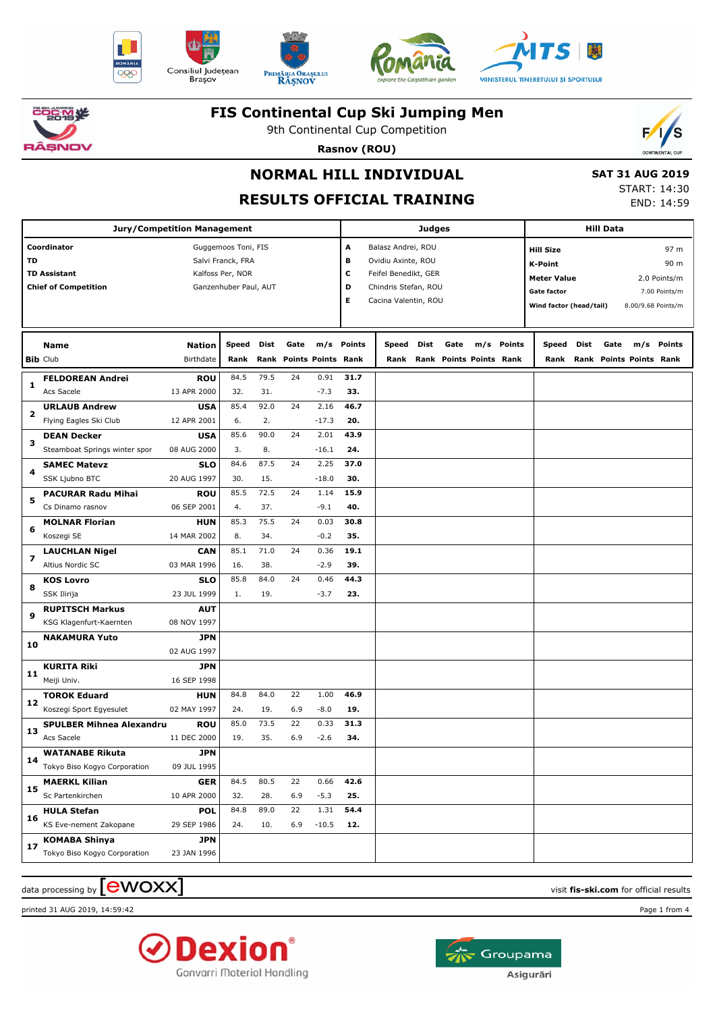











9th Continental Cup Competition **Rasnov (ROU)**



## **NORMAL HILL INDIVIDUAL**

# **RESULTS OFFICIAL TRAINING**

 **SAT 31 AUG 2019** START: 14:30

END: 14:59

| <b>Jury/Competition Management</b> |                                 |                  |                       |             |                         |                 |             |                           |      |                         | Hill Data |            |                         |                                    |      |                         |                    |  |
|------------------------------------|---------------------------------|------------------|-----------------------|-------------|-------------------------|-----------------|-------------|---------------------------|------|-------------------------|-----------|------------|-------------------------|------------------------------------|------|-------------------------|--------------------|--|
|                                    | Coordinator                     |                  | Guggemoos Toni, FIS   |             |                         |                 | A           | Balasz Andrei, ROU        |      |                         |           |            | <b>Hill Size</b>        |                                    |      |                         | 97 m               |  |
| TD                                 |                                 |                  | Salvi Franck, FRA     |             |                         |                 | в           | Ovidiu Axinte, ROU        |      |                         |           |            | <b>K-Point</b>          |                                    |      |                         | 90 m               |  |
|                                    | <b>TD Assistant</b>             | Kalfoss Per, NOR |                       |             |                         |                 |             | c<br>Feifel Benedikt, GER |      |                         |           |            |                         | <b>Meter Value</b><br>2.0 Points/m |      |                         |                    |  |
|                                    | <b>Chief of Competition</b>     |                  | Ganzenhuber Paul, AUT |             |                         |                 | D           | Chindris Stefan, ROU      |      |                         |           |            | <b>Gate factor</b>      |                                    |      |                         | 7.00 Points/m      |  |
|                                    |                                 |                  |                       |             |                         |                 | Е           | Cacina Valentin, ROU      |      |                         |           |            | Wind factor (head/tail) |                                    |      |                         | 8.00/9.68 Points/m |  |
|                                    |                                 |                  |                       |             |                         |                 |             |                           |      |                         |           |            |                         |                                    |      |                         |                    |  |
|                                    | Name                            | <b>Nation</b>    | Speed                 | Dist        | Gate                    |                 | m/s Points  | Speed                     | Dist | Gate                    |           | m/s Points | <b>Speed</b>            | Dist                               | Gate | m/s                     | Points             |  |
|                                    | <b>Bib Club</b>                 | Birthdate        | Rank                  |             | Rank Points Points Rank |                 |             | Rank                      |      | Rank Points Points Rank |           |            | Rank                    |                                    |      | Rank Points Points Rank |                    |  |
|                                    |                                 |                  |                       |             |                         |                 |             |                           |      |                         |           |            |                         |                                    |      |                         |                    |  |
| 1                                  | <b>FELDOREAN Andrei</b>         | <b>ROU</b>       | 84.5                  | 79.5        | 24                      | 0.91            | 31.7        |                           |      |                         |           |            |                         |                                    |      |                         |                    |  |
|                                    | Acs Sacele                      | 13 APR 2000      | 32.                   | 31.<br>92.0 | 24                      | $-7.3$          | 33.<br>46.7 |                           |      |                         |           |            |                         |                                    |      |                         |                    |  |
| 2                                  | <b>URLAUB Andrew</b>            | <b>USA</b>       | 85.4                  | 2.          |                         | 2.16            |             |                           |      |                         |           |            |                         |                                    |      |                         |                    |  |
|                                    | Flying Eagles Ski Club          | 12 APR 2001      | 6.<br>85.6            | 90.0        | 24                      | $-17.3$<br>2.01 | 20.<br>43.9 |                           |      |                         |           |            |                         |                                    |      |                         |                    |  |
| з                                  | <b>DEAN Decker</b>              | <b>USA</b>       | 3.                    | 8.          |                         |                 | 24.         |                           |      |                         |           |            |                         |                                    |      |                         |                    |  |
|                                    | Steamboat Springs winter spor   | 08 AUG 2000      | 84.6                  | 87.5        | 24                      | $-16.1$<br>2.25 | 37.0        |                           |      |                         |           |            |                         |                                    |      |                         |                    |  |
| 4                                  | <b>SAMEC Matevz</b>             | <b>SLO</b>       |                       |             |                         |                 |             |                           |      |                         |           |            |                         |                                    |      |                         |                    |  |
|                                    | SSK Ljubno BTC                  | 20 AUG 1997      | 30.                   | 15.         |                         | $-18.0$         | 30.         |                           |      |                         |           |            |                         |                                    |      |                         |                    |  |
| 5                                  | <b>PACURAR Radu Mihai</b>       | <b>ROU</b>       | 85.5                  | 72.5        | 24                      | 1.14            | 15.9        |                           |      |                         |           |            |                         |                                    |      |                         |                    |  |
|                                    | Cs Dinamo rasnov                | 06 SEP 2001      | 4.                    | 37.         |                         | $-9.1$          | 40.         |                           |      |                         |           |            |                         |                                    |      |                         |                    |  |
| 6                                  | <b>MOLNAR Florian</b>           | <b>HUN</b>       | 85.3                  | 75.5        | 24                      | 0.03            | 30.8        |                           |      |                         |           |            |                         |                                    |      |                         |                    |  |
|                                    | Koszegi SE                      | 14 MAR 2002      | 8.                    | 34.         |                         | $-0.2$          | 35.         |                           |      |                         |           |            |                         |                                    |      |                         |                    |  |
| $\overline{\mathbf{z}}$            | <b>LAUCHLAN Nigel</b>           | <b>CAN</b>       | 85.1                  | 71.0        | 24                      | 0.36            | 19.1        |                           |      |                         |           |            |                         |                                    |      |                         |                    |  |
|                                    | Altius Nordic SC                | 03 MAR 1996      | 16.                   | 38.         |                         | $-2.9$          | 39.         |                           |      |                         |           |            |                         |                                    |      |                         |                    |  |
| 8                                  | <b>KOS Lovro</b>                | <b>SLO</b>       | 85.8                  | 84.0        | 24                      | 0.46            | 44.3        |                           |      |                         |           |            |                         |                                    |      |                         |                    |  |
|                                    | SSK Ilirija                     | 23 JUL 1999      | 1.                    | 19.         |                         | $-3.7$          | 23.         |                           |      |                         |           |            |                         |                                    |      |                         |                    |  |
| 9                                  | <b>RUPITSCH Markus</b>          | <b>AUT</b>       |                       |             |                         |                 |             |                           |      |                         |           |            |                         |                                    |      |                         |                    |  |
|                                    | KSG Klagenfurt-Kaernten         | 08 NOV 1997      |                       |             |                         |                 |             |                           |      |                         |           |            |                         |                                    |      |                         |                    |  |
| 10                                 | <b>NAKAMURA Yuto</b>            | <b>JPN</b>       |                       |             |                         |                 |             |                           |      |                         |           |            |                         |                                    |      |                         |                    |  |
|                                    |                                 | 02 AUG 1997      |                       |             |                         |                 |             |                           |      |                         |           |            |                         |                                    |      |                         |                    |  |
| 11                                 | <b>KURITA Riki</b>              | <b>JPN</b>       |                       |             |                         |                 |             |                           |      |                         |           |            |                         |                                    |      |                         |                    |  |
|                                    | Meiji Univ.                     | 16 SEP 1998      |                       |             |                         |                 |             |                           |      |                         |           |            |                         |                                    |      |                         |                    |  |
| 12                                 | <b>TOROK Eduard</b>             | <b>HUN</b>       | 84.8                  | 84.0        | 22                      | 1.00            | 46.9        |                           |      |                         |           |            |                         |                                    |      |                         |                    |  |
|                                    | Koszegi Sport Egyesulet         | 02 MAY 1997      | 24.                   | 19.         | 6.9                     | $-8.0$          | 19.         |                           |      |                         |           |            |                         |                                    |      |                         |                    |  |
| 13                                 | <b>SPULBER Mihnea Alexandru</b> | <b>ROU</b>       | 85.0                  | 73.5        | 22                      | 0.33            | 31.3        |                           |      |                         |           |            |                         |                                    |      |                         |                    |  |
|                                    | Acs Sacele                      | 11 DEC 2000      | 19.                   | 35.         | 6.9                     | $-2.6$          | 34.         |                           |      |                         |           |            |                         |                                    |      |                         |                    |  |
| 14                                 | <b>WATANABE Rikuta</b>          | <b>JPN</b>       |                       |             |                         |                 |             |                           |      |                         |           |            |                         |                                    |      |                         |                    |  |
|                                    | Tokyo Biso Kogyo Corporation    | 09 JUL 1995      |                       |             |                         |                 |             |                           |      |                         |           |            |                         |                                    |      |                         |                    |  |
|                                    | <b>MAERKL Kilian</b>            | <b>GER</b>       | 84.5                  | 80.5        | 22                      | 0.66            | 42.6        |                           |      |                         |           |            |                         |                                    |      |                         |                    |  |
| 15                                 | Sc Partenkirchen                | 10 APR 2000      | 32.                   | 28.         | 6.9                     | $-5.3$          | 25.         |                           |      |                         |           |            |                         |                                    |      |                         |                    |  |
| 16<br>17                           | <b>HULA Stefan</b>              | <b>POL</b>       | 84.8                  | 89.0        | 22                      | 1.31            | 54.4        |                           |      |                         |           |            |                         |                                    |      |                         |                    |  |
|                                    | KS Eve-nement Zakopane          | 29 SEP 1986      | 24.                   | 10.         | 6.9                     | $-10.5$         | 12.         |                           |      |                         |           |            |                         |                                    |      |                         |                    |  |
|                                    | <b>KOMABA Shinya</b>            | <b>JPN</b>       |                       |             |                         |                 |             |                           |      |                         |           |            |                         |                                    |      |                         |                    |  |
|                                    | Tokyo Biso Kogyo Corporation    | 23 JAN 1996      |                       |             |                         |                 |             |                           |      |                         |           |            |                         |                                    |      |                         |                    |  |

 $\alpha$  data processing by  $\boxed{\text{ewOX}}$ 

printed 31 AUG 2019, 14:59:42 Page 1 from 4



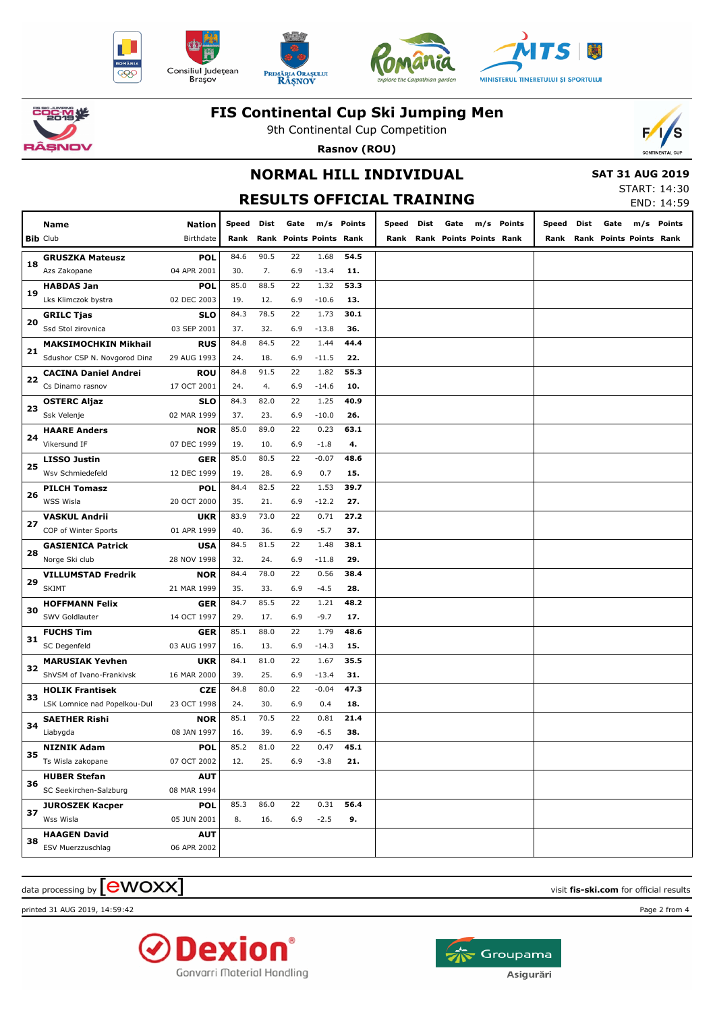











9th Continental Cup Competition **Rasnov (ROU)**



## **NORMAL HILL INDIVIDUAL**

 **SAT 31 AUG 2019**

**RESULTS OFFICIAL TRAINING**

| START: 14:30 |            |
|--------------|------------|
|              | END: 14:59 |

|    | Name                                   | Nation                    | Speed       | Dist        | Gate |                           | m/s Points | Speed | Dist | Gate                    | m/s | Points | Speed | Dist | Gate                    | m/s | Points |
|----|----------------------------------------|---------------------------|-------------|-------------|------|---------------------------|------------|-------|------|-------------------------|-----|--------|-------|------|-------------------------|-----|--------|
|    | <b>Bib Club</b>                        | Birthdate                 | Rank        | Rank        |      | <b>Points Points Rank</b> |            | Rank  |      | Rank Points Points Rank |     |        | Rank  |      | Rank Points Points Rank |     |        |
|    |                                        |                           |             | 90.5        | 22   | 1.68                      | 54.5       |       |      |                         |     |        |       |      |                         |     |        |
| 18 | <b>GRUSZKA Mateusz</b><br>Azs Zakopane | <b>POL</b><br>04 APR 2001 | 84.6<br>30. | 7.          | 6.9  | $-13.4$                   | 11.        |       |      |                         |     |        |       |      |                         |     |        |
|    | <b>HABDAS Jan</b>                      | <b>POL</b>                | 85.0        | 88.5        | 22   | 1.32                      | 53.3       |       |      |                         |     |        |       |      |                         |     |        |
| 19 | Lks Klimczok bystra                    | 02 DEC 2003               | 19.         | 12.         | 6.9  | $-10.6$                   | 13.        |       |      |                         |     |        |       |      |                         |     |        |
|    | <b>GRILC Tjas</b>                      | <b>SLO</b>                | 84.3        | 78.5        | 22   | 1.73                      | 30.1       |       |      |                         |     |        |       |      |                         |     |        |
| 20 | Ssd Stol zirovnica                     | 03 SEP 2001               | 37.         | 32.         | 6.9  | $-13.8$                   | 36.        |       |      |                         |     |        |       |      |                         |     |        |
|    | <b>MAKSIMOCHKIN Mikhail</b>            | <b>RUS</b>                | 84.8        | 84.5        | 22   | 1.44                      | 44.4       |       |      |                         |     |        |       |      |                         |     |        |
| 21 | Sdushor CSP N. Novgorod Dina           | 29 AUG 1993               | 24.         | 18.         | 6.9  | $-11.5$                   | 22.        |       |      |                         |     |        |       |      |                         |     |        |
|    | <b>CACINA Daniel Andrei</b>            | <b>ROU</b>                | 84.8        | 91.5        | 22   | 1.82                      | 55.3       |       |      |                         |     |        |       |      |                         |     |        |
| 22 | Cs Dinamo rasnov                       | 17 OCT 2001               | 24.         | 4.          | 6.9  | $-14.6$                   | 10.        |       |      |                         |     |        |       |      |                         |     |        |
|    | <b>OSTERC Aljaz</b>                    | <b>SLO</b>                | 84.3        | 82.0        | 22   | 1.25                      | 40.9       |       |      |                         |     |        |       |      |                         |     |        |
| 23 | Ssk Velenje                            | 02 MAR 1999               | 37.         | 23.         | 6.9  | $-10.0$                   | 26.        |       |      |                         |     |        |       |      |                         |     |        |
|    |                                        |                           | 85.0        | 89.0        | 22   | 0.23                      | 63.1       |       |      |                         |     |        |       |      |                         |     |        |
| 24 | <b>HAARE Anders</b><br>Vikersund IF    | <b>NOR</b>                | 19.         |             |      | $-1.8$                    |            |       |      |                         |     |        |       |      |                         |     |        |
|    |                                        | 07 DEC 1999               |             | 10.<br>80.5 | 6.9  |                           | 4.<br>48.6 |       |      |                         |     |        |       |      |                         |     |        |
| 25 | <b>LISSO Justin</b>                    | <b>GER</b>                | 85.0        |             | 22   | $-0.07$                   |            |       |      |                         |     |        |       |      |                         |     |        |
|    | Wsv Schmiedefeld                       | 12 DEC 1999               | 19.         | 28.         | 6.9  | 0.7                       | 15.        |       |      |                         |     |        |       |      |                         |     |        |
| 26 | <b>PILCH Tomasz</b>                    | <b>POL</b>                | 84.4        | 82.5        | 22   | 1.53                      | 39.7       |       |      |                         |     |        |       |      |                         |     |        |
|    | WSS Wisla                              | 20 OCT 2000               | 35.         | 21.         | 6.9  | $-12.2$                   | 27.        |       |      |                         |     |        |       |      |                         |     |        |
| 27 | <b>VASKUL Andrii</b>                   | <b>UKR</b>                | 83.9        | 73.0        | 22   | 0.71                      | 27.2       |       |      |                         |     |        |       |      |                         |     |        |
|    | COP of Winter Sports                   | 01 APR 1999               | 40.         | 36.         | 6.9  | $-5.7$                    | 37.        |       |      |                         |     |        |       |      |                         |     |        |
| 28 | <b>GASIENICA Patrick</b>               | <b>USA</b>                | 84.5        | 81.5        | 22   | 1.48                      | 38.1       |       |      |                         |     |        |       |      |                         |     |        |
|    | Norge Ski club                         | 28 NOV 1998               | 32.         | 24.         | 6.9  | $-11.8$                   | 29.        |       |      |                         |     |        |       |      |                         |     |        |
| 29 | <b>VILLUMSTAD Fredrik</b>              | <b>NOR</b>                | 84.4        | 78.0        | 22   | 0.56                      | 38.4       |       |      |                         |     |        |       |      |                         |     |        |
|    | <b>SKIMT</b>                           | 21 MAR 1999               | 35.         | 33.         | 6.9  | $-4.5$                    | 28.        |       |      |                         |     |        |       |      |                         |     |        |
| 30 | <b>HOFFMANN Felix</b>                  | <b>GER</b>                | 84.7        | 85.5        | 22   | 1.21                      | 48.2       |       |      |                         |     |        |       |      |                         |     |        |
|    | SWV Goldlauter                         | 14 OCT 1997               | 29.         | 17.         | 6.9  | $-9.7$                    | 17.        |       |      |                         |     |        |       |      |                         |     |        |
| 31 | <b>FUCHS Tim</b>                       | <b>GER</b>                | 85.1        | 88.0        | 22   | 1.79                      | 48.6       |       |      |                         |     |        |       |      |                         |     |        |
|    | SC Degenfeld                           | 03 AUG 1997               | 16.         | 13.         | 6.9  | $-14.3$                   | 15.        |       |      |                         |     |        |       |      |                         |     |        |
| 32 | <b>MARUSIAK Yevhen</b>                 | <b>UKR</b>                | 84.1        | 81.0        | 22   | 1.67                      | 35.5       |       |      |                         |     |        |       |      |                         |     |        |
|    | ShVSM of Ivano-Frankivsk               | 16 MAR 2000               | 39.         | 25.         | 6.9  | $-13.4$                   | 31.        |       |      |                         |     |        |       |      |                         |     |        |
| 33 | <b>HOLIK Frantisek</b>                 | <b>CZE</b>                | 84.8        | 80.0        | 22   | $-0.04$                   | 47.3       |       |      |                         |     |        |       |      |                         |     |        |
|    | LSK Lomnice nad Popelkou-Dul           | 23 OCT 1998               | 24.         | 30.         | 6.9  | 0.4                       | 18.        |       |      |                         |     |        |       |      |                         |     |        |
| 34 | <b>SAETHER Rishi</b>                   | <b>NOR</b>                | 85.1        | 70.5        | 22   | 0.81                      | 21.4       |       |      |                         |     |        |       |      |                         |     |        |
|    | Liabygda                               | 08 JAN 1997               | 16.         | 39.         | 6.9  | $-6.5$                    | 38.        |       |      |                         |     |        |       |      |                         |     |        |
| 35 | <b>NIZNIK Adam</b>                     | <b>POL</b>                | 85.2        | 81.0        | 22   | 0.47                      | 45.1       |       |      |                         |     |        |       |      |                         |     |        |
|    | Ts Wisla zakopane                      | 07 OCT 2002               | 12.         | 25.         | 6.9  | $-3.8$                    | 21.        |       |      |                         |     |        |       |      |                         |     |        |
| 36 | <b>HUBER Stefan</b>                    | <b>AUT</b>                |             |             |      |                           |            |       |      |                         |     |        |       |      |                         |     |        |
|    | SC Seekirchen-Salzburg                 | 08 MAR 1994               |             |             |      |                           |            |       |      |                         |     |        |       |      |                         |     |        |
| 37 | <b>JUROSZEK Kacper</b>                 | <b>POL</b>                | 85.3        | 86.0        | 22   | 0.31                      | 56.4       |       |      |                         |     |        |       |      |                         |     |        |
|    | Wss Wisla                              | 05 JUN 2001               | 8.          | 16.         | 6.9  | $-2.5$                    | 9.         |       |      |                         |     |        |       |      |                         |     |        |
|    | <b>HAAGEN David</b>                    | <b>AUT</b>                |             |             |      |                           |            |       |      |                         |     |        |       |      |                         |     |        |
| 38 | <b>ESV Muerzzuschlag</b>               | 06 APR 2002               |             |             |      |                           |            |       |      |                         |     |        |       |      |                         |     |        |

 $\alpha$  data processing by  $\boxed{\text{ewOX}}$ 

printed 31 AUG 2019, 14:59:42 Page 2 from 4



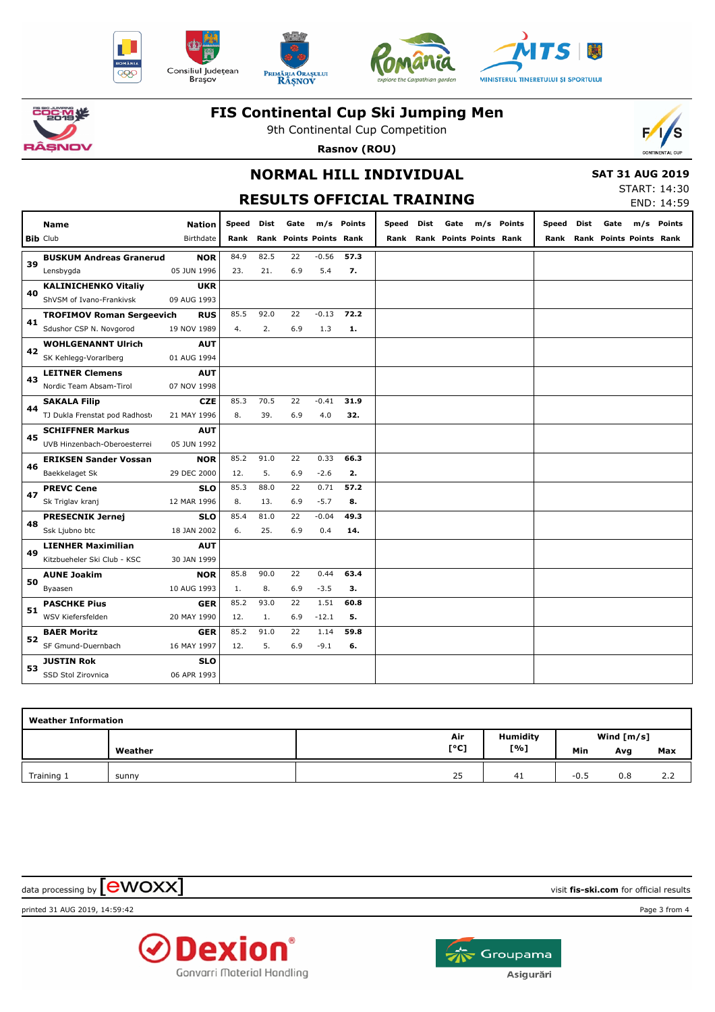











9th Continental Cup Competition **Rasnov (ROU)**



### **NORMAL HILL INDIVIDUAL**

 **SAT 31 AUG 2019**

|  | <b>RESULTS OFFICIAL TRAINING</b> |
|--|----------------------------------|
|  |                                  |

START: 14:30 END: 14:59

|    | <b>Name</b>                            | <b>Nation</b> | Speed | Dist | Gate                    |         | m/s Points | Speed | Dist | Gate |                         | m/s Points | Speed Dist | Gate                         | m/s Points |
|----|----------------------------------------|---------------|-------|------|-------------------------|---------|------------|-------|------|------|-------------------------|------------|------------|------------------------------|------------|
|    | <b>Bib Club</b>                        | Birthdate     | Rank  |      | Rank Points Points Rank |         |            | Rank  |      |      | Rank Points Points Rank |            |            | Rank Rank Points Points Rank |            |
|    | <b>BUSKUM Andreas Granerud</b>         | <b>NOR</b>    | 84.9  | 82.5 | 22                      | $-0.56$ | 57.3       |       |      |      |                         |            |            |                              |            |
| 39 | Lensbygda                              | 05 JUN 1996   | 23.   | 21.  | 6.9                     | 5.4     | 7.         |       |      |      |                         |            |            |                              |            |
|    | <b>KALINICHENKO Vitaliy</b>            | <b>UKR</b>    |       |      |                         |         |            |       |      |      |                         |            |            |                              |            |
| 40 | ShVSM of Ivano-Frankivsk               | 09 AUG 1993   |       |      |                         |         |            |       |      |      |                         |            |            |                              |            |
| 41 | <b>TROFIMOV Roman Sergeevich</b>       | <b>RUS</b>    | 85.5  | 92.0 | 22                      | $-0.13$ | 72.2       |       |      |      |                         |            |            |                              |            |
|    | Sdushor CSP N. Novgorod                | 19 NOV 1989   | 4.    | 2.   | 6.9                     | 1.3     | 1.         |       |      |      |                         |            |            |                              |            |
| 42 | <b>WOHLGENANNT Ulrich</b>              | <b>AUT</b>    |       |      |                         |         |            |       |      |      |                         |            |            |                              |            |
|    | SK Kehlegg-Vorarlberg                  | 01 AUG 1994   |       |      |                         |         |            |       |      |      |                         |            |            |                              |            |
| 43 | <b>LEITNER Clemens</b>                 | <b>AUT</b>    |       |      |                         |         |            |       |      |      |                         |            |            |                              |            |
|    | Nordic Team Absam-Tirol<br>07 NOV 1998 |               |       |      |                         |         |            |       |      |      |                         |            |            |                              |            |
| 44 | <b>SAKALA Filip</b>                    | <b>CZE</b>    | 85.3  | 70.5 | 22                      | $-0.41$ | 31.9       |       |      |      |                         |            |            |                              |            |
|    | TJ Dukla Frenstat pod Radhost          | 21 MAY 1996   | 8.    | 39.  | 6.9                     | 4.0     | 32.        |       |      |      |                         |            |            |                              |            |
| 45 | <b>SCHIFFNER Markus</b>                | <b>AUT</b>    |       |      |                         |         |            |       |      |      |                         |            |            |                              |            |
|    | UVB Hinzenbach-Oberoesterrei           | 05 JUN 1992   |       |      |                         |         |            |       |      |      |                         |            |            |                              |            |
| 46 | <b>ERIKSEN Sander Vossan</b>           | <b>NOR</b>    | 85.2  | 91.0 | 22                      | 0.33    | 66.3       |       |      |      |                         |            |            |                              |            |
|    | Baekkelaget Sk                         | 29 DEC 2000   | 12.   | 5.   | 6.9                     | $-2.6$  | 2.         |       |      |      |                         |            |            |                              |            |
| 47 | <b>PREVC Cene</b>                      | <b>SLO</b>    | 85.3  | 88.0 | 22                      | 0.71    | 57.2       |       |      |      |                         |            |            |                              |            |
|    | Sk Triglav kranj                       | 12 MAR 1996   | 8.    | 13.  | 6.9                     | $-5.7$  | 8.         |       |      |      |                         |            |            |                              |            |
| 48 | <b>PRESECNIK Jernej</b>                | <b>SLO</b>    | 85.4  | 81.0 | 22                      | $-0.04$ | 49.3       |       |      |      |                         |            |            |                              |            |
|    | Ssk Ljubno btc                         | 18 JAN 2002   | 6.    | 25.  | 6.9                     | 0.4     | 14.        |       |      |      |                         |            |            |                              |            |
| 49 | <b>LIENHER Maximilian</b>              | <b>AUT</b>    |       |      |                         |         |            |       |      |      |                         |            |            |                              |            |
|    | Kitzbueheler Ski Club - KSC            | 30 JAN 1999   |       |      |                         |         |            |       |      |      |                         |            |            |                              |            |
| 50 | <b>AUNE Joakim</b>                     | <b>NOR</b>    | 85.8  | 90.0 | 22                      | 0.44    | 63.4       |       |      |      |                         |            |            |                              |            |
|    | Byaasen                                | 10 AUG 1993   | 1.    | 8.   | 6.9                     | $-3.5$  | з.         |       |      |      |                         |            |            |                              |            |
| 51 | <b>PASCHKE Pius</b>                    | <b>GER</b>    | 85.2  | 93.0 | 22                      | 1.51    | 60.8       |       |      |      |                         |            |            |                              |            |
|    | WSV Kiefersfelden                      | 20 MAY 1990   | 12.   | 1.   | 6.9                     | $-12.1$ | 5.         |       |      |      |                         |            |            |                              |            |
| 52 | <b>BAER Moritz</b>                     | <b>GER</b>    | 85.2  | 91.0 | 22                      | 1.14    | 59.8       |       |      |      |                         |            |            |                              |            |
|    | SF Gmund-Duernbach                     | 16 MAY 1997   | 12.   | 5.   | 6.9                     | $-9.1$  | 6.         |       |      |      |                         |            |            |                              |            |
| 53 | JUSTIN Rok                             | <b>SLO</b>    |       |      |                         |         |            |       |      |      |                         |            |            |                              |            |
|    | SSD Stol Zirovnica                     | 06 APR 1993   |       |      |                         |         |            |       |      |      |                         |            |            |                              |            |

| <b>Weather Information</b> |         |      |                 |              |     |     |  |  |  |  |  |  |
|----------------------------|---------|------|-----------------|--------------|-----|-----|--|--|--|--|--|--|
|                            |         | Air  | <b>Humidity</b> | Wind $[m/s]$ |     |     |  |  |  |  |  |  |
|                            | Weather | [°C] | [%]             | Min          | Avg | Max |  |  |  |  |  |  |
| Training 1                 | sunny   | 25   | 41              | $-0.5$       | 0.8 | 2.2 |  |  |  |  |  |  |

 $\alpha$  data processing by  $\boxed{\text{ewOX}}$ 

printed 31 AUG 2019, 14:59:42 Page 3 from 4